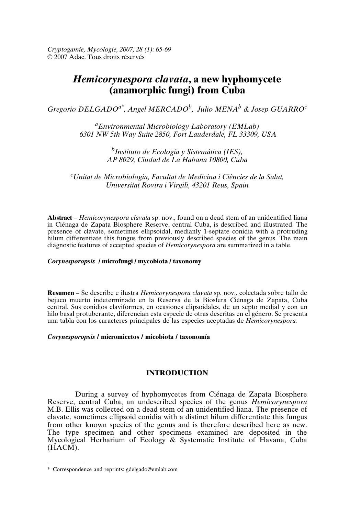*Cryptogamie, Mycologie, 2007, 28 (1): 65-69* © 2007 Adac. Tous droits réservés

# *Hemicorynespora clavata***, a new hyphomycete (anamorphic fungi) from Cuba**

*Gregorio DELGADOa\*, Angel MERCADO<sup>b</sup> , Julio MENA<sup>b</sup> & Josep GUARRO<sup>c</sup>*

*<sup>a</sup>Environmental Microbiology Laboratory (EMLab) 6301 NW 5th Way Suite 2850, Fort Lauderdale, FL 33309, USA*

> *b Instituto de Ecología y Sistemática (IES), AP 8029, Ciudad de La Habana 10800, Cuba*

*<sup>c</sup>Unitat de Microbiologia, Facultat de Medicina i Ciències de la Salut, Universitat Rovira i Virgili, 43201 Reus, Spain*

**Abstract** – *Hemicorynespora clavata* sp. nov., found on a dead stem of an unidentified liana in Ciénaga de Zapata Biosphere Reserve, central Cuba, is described and illustrated. The presence of clavate, sometimes ellipsoidal, medianly 1-septate conidia with a protruding hilum differentiate this fungus from previously described species of the genus. The main diagnostic features of accepted species of *Hemicorynespora* are summarized in a table.

#### *Corynesporopsis* **/ microfungi / mycobiota / taxonomy**

**Resumen** – Se describe e ilustra *Hemicorynespora clavata* sp. nov., colectada sobre tallo de bejuco muerto indeterminado en la Reserva de la Biosfera Ciénaga de Zapata, Cuba central. Sus conidios claviformes, en ocasiones elipsoidales, de un septo medial y con un hilo basal protuberante, diferencian esta especie de otras descritas en el género. Se presenta una tabla con los caracteres principales de las especies aceptadas de *Hemicorynespora.*

#### *Corynesporopsis* **/ micromicetos / micobiota / taxonomía**

# **INTRODUCTION**

During a survey of hyphomycetes from Ciénaga de Zapata Biosphere Reserve, central Cuba, an undescribed species of the genus *Hemicorynespora* M.B. Ellis was collected on a dead stem of an unidentified liana. The presence of clavate, sometimes ellipsoid conidia with a distinct hilum differentiate this fungus from other known species of the genus and is therefore described here as new. The type specimen and other specimens examined are deposited in the Mycological Herbarium of Ecology & Systematic Institute of Havana, Cuba (HACM).

<sup>\*</sup> Correspondence and reprints: gdelgado@emlab.com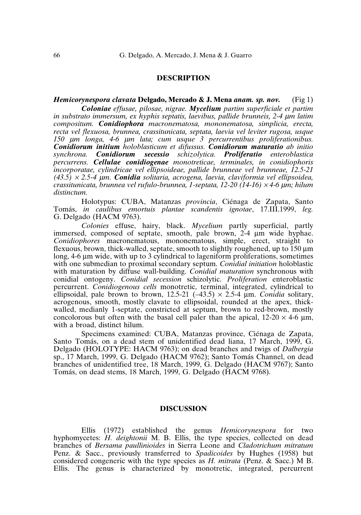### **DESCRIPTION**

#### *Hemicorynespora clavata* **Delgado, Mercado & J. Mena** *anam. sp. nov.* (Fig 1)

*Coloniae effusae, pilosae, nigrae. Mycelium partim superficiale et partim in substrato immersum, ex hyphis septatis, laevibus, pallide brunneis, 2-4* <sup>µ</sup>*m latim compositum. Conidiophora macronematosa, mononematosa, simplicia, erecta, recta vel flexuosa, brunnea, crassitunicata, septata, laevia vel leviter rugosa, usque 150* <sup>µ</sup>*m longa, 4-6* <sup>µ</sup>*m lata; cum usque 3 percurrentibus proliferationibus. Conidiorum initium holoblasticum et difussus. Conidiorum maturatio ab initio synchrona. Conidiorum secessio schizolytica. Proliferatio enteroblastica percurrens. Cellulae conidiogenae monotreticae, terminales, in conidiophoris incorporatae, cylindricae vel ellipsoideae, pallide brunneae vel brunneae, 12.5-21 (43.5)* <sup>×</sup> *2.5-4* <sup>µ</sup>*m. Conidia solitaria, acrogena, laevia, claviformia vel ellipsoidea, crassitunicata, brunnea vel rufulo-brunnea, 1-septata, 12-20 (14-16)* <sup>×</sup> *4-6* <sup>µ</sup>*m; hilum distinctum.*

Holotypus: CUBA, Matanzas *provincia*, Ciénaga de Zapata, Santo Tomás, *in caulibus emortuis plantae scandentis ignotae*, 17.III.1999, *leg.* G. Delgado (HACM 9763).

*Colonies* effuse, hairy, black. *Mycelium* partly superficial, partly immersed, composed of septate, smooth, pale brown, 2-4 µm wide hyphae. *Conidiophores* macronematous, mononematous, simple, erect, straight to flexuous, brown, thick-walled, septate, smooth to slightly roughened, up to  $150 \mu m$ long, 4-6 µm wide, with up to 3 cylindrical to lageniform proliferations, sometimes with one submedian to proximal secondary septum. *Conidial initiation* holoblastic with maturation by diffuse wall-building. *Conidial maturation* synchronous with conidial ontogeny. *Conidial secession* schizolytic. *Proliferation* enteroblastic percurrent. *Conidiogenous cells* monotretic, terminal, integrated, cylindrical to ellipsoidal, pale brown to brown,  $12.5-21$  ( $-43.5$ )  $\times$  2.5-4 µm. *Conidia* solitary, acrogenous, smooth, mostly clavate to ellipsoidal, rounded at the apex, thickwalled, medianly 1-septate, constricted at septum, brown to red-brown, mostly concolorous but often with the basal cell paler than the apical,  $12{\text -}20 \times 4{\text -}6 \mu m$ , with a broad, distinct hilum.

Specimens examined: CUBA, Matanzas province, Ciénaga de Zapata, Santo Tomás, on a dead stem of unidentified dead liana, 17 March, 1999, G. Delgado (HOLOTYPE: HACM 9763); on dead branches and twigs of *Dalbergia* sp., 17 March, 1999, G. Delgado (HACM 9762); Santo Tomás Channel, on dead branches of unidentified tree, 18 March, 1999, G. Delgado (HACM 9767); Santo Tomás, on dead stems, 18 March, 1999, G. Delgado (HACM 9768).

## **DISCUSSION**

Ellis (1972) established the genus *Hemicorynespora* for two hyphomycetes: *H. deightonii* M. B. Ellis, the type species, collected on dead branches of *Bersama paullinioides* in Sierra Leone and *Cladotrichum mitratum* Penz. & Sacc., previously transferred to *Spadicoides* by Hughes (1958) but considered congeneric with the type species as *H. mitrata* (Penz. & Sacc.) M B. Ellis. The genus is characterized by monotretic, integrated, percurrent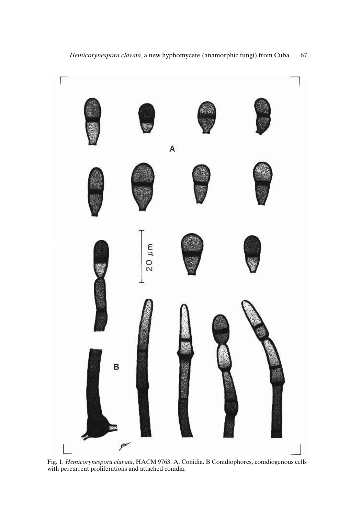

Fig. 1. *Hemicorynespora clavata*, HACM 9763. A. Conidia. B Conidiophores, conidiogenous cells with percurrent proliferations and attached conidia.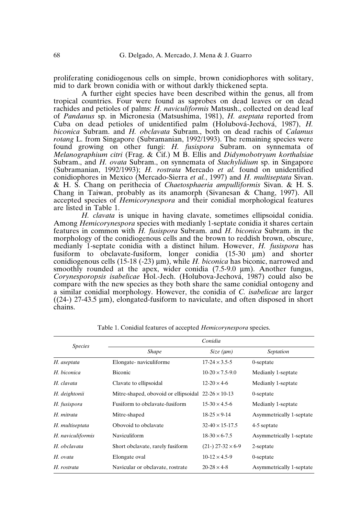proliferating conidiogenous cells on simple, brown conidiophores with solitary, mid to dark brown conidia with or without darkly thickened septa.

A further eight species have been described within the genus, all from tropical countries. Four were found as saprobes on dead leaves or on dead rachides and petioles of palms: *H. naviculiformis* Matsush., collected on dead leaf of *Pandanus* sp. in Micronesia (Matsushima, 1981), *H. aseptata* reported from Cuba on dead petioles of unidentified palm (Holubová-Jechová, 1987), *H. biconica* Subram. and *H. obclavata* Subram., both on dead rachis of *Calamus rotang* L. from Singapore (Subramanian, 1992/1993). The remaining species were found growing on other fungi: *H. fusispora* Subram. on synnemata of *Melanographium citri* (Frag. & Cif.) M B. Ellis and *Didymobotryum korthalsiae* Subram., and *H. ovata* Subram., on synnemata of *Stachylidium* sp. in Singapore (Subramanian, 1992/1993); *H. rostrata* Mercado *et al.* found on unidentified conidiophores in Mexico (Mercado-Sierra *et al.*, 1997) and *H. multiseptata* Sivan. & H. S. Chang on perithecia of *Chaetosphaeria ampulliformis* Sivan. & H. S. Chang in Taiwan, probably as its anamorph (Sivanesan & Chang, 1997). All accepted species of *Hemicorynespora* and their conidial morphological features are listed in Table 1.

*H. clavata* is unique in having clavate, sometimes ellipsoidal conidia. Among *Hemicorynespora* species with medianly 1-septate conidia it shares certain features in common with *H. fusispora* Subram. and *H. biconica* Subram. in the morphology of the conidiogenous cells and the brown to reddish brown, obscure, medianly 1-septate conidia with a distinct hilum. However, *H. fusispora* has fusiform to obclavate-fusiform, longer conidia (15-30 µm) and shorter conidiogenous cells  $(15-18 (-23) \,\mu m)$ , while *H. biconica* has biconic, narrowed and smoothly rounded at the apex, wider conidia (7.5-9.0 µm). Another fungus, *Corynesporopsis isabelicae* Hol.-Jech. (Holubova-Jechová, 1987) could also be compare with the new species as they both share the same conidial ontogeny and a similar conidial morphology. However, the conidia of *C. isabelicae* are larger  $((24-) 27-43.5 \mu m)$ , elongated-fusiform to naviculate, and often disposed in short chains.

| <i>Species</i>    | Conidia                                                   |                          |                          |
|-------------------|-----------------------------------------------------------|--------------------------|--------------------------|
|                   | <b>Shape</b>                                              | Size (µm)                | Septation                |
| H. aseptata       | Elongate-naviculiforme                                    | $17 - 24 \times 3.5 - 5$ | 0-septate                |
| H. biconica       | <b>Biconic</b>                                            | $10-20 \times 7.5-9.0$   | Medianly 1-septate       |
| H. clavata        | Clavate to ellipsoidal                                    | $12 - 20 \times 4 - 6$   | Medianly 1-septate       |
| H. deightonii     | Mitre-shaped, obovoid or ellipsoidal $22-26 \times 10-13$ |                          | 0-septate                |
| H. fusispora      | Fusiform to obclavate-fusiform                            | $15-30 \times 4.5-6$     | Medianly 1-septate       |
| H. mitrata        | Mitre-shaped                                              | $18-25 \times 9-14$      | Asymmetrically 1-septate |
| H. multiseptata   | Obovoid to obclavate                                      | $32-40 \times 15-17.5$   | 4-5 septate              |
| H. naviculiformis | Naviculiform                                              | $18-30 \times 6-7.5$     | Asymmetrically 1-septate |
| H. obclavata      | Short obclavate, rarely fusiform                          | $(21-) 27-32 \times 6-9$ | 2-septate                |
| H. ovata          | Elongate oval                                             | $10-12 \times 4.5-9$     | 0-septate                |
| H. rostrata       | Navicular or obclavate, rostrate                          | $20 - 28 \times 4 - 8$   | Asymmetrically 1-septate |

Table 1. Conidial features of accepted *Hemicorynespora* species.